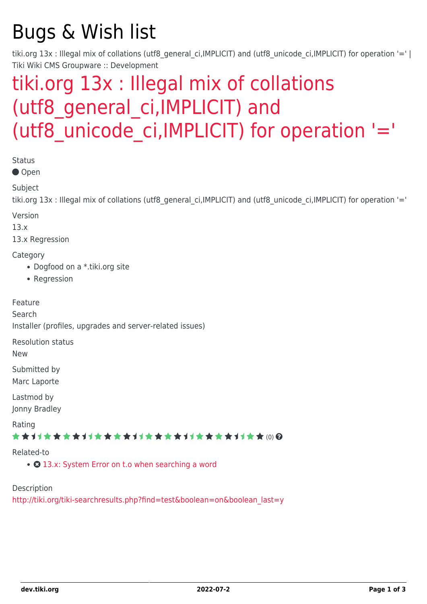# Bugs & Wish list

tiki.org 13x : Illegal mix of collations (utf8 general ci,IMPLICIT) and (utf8 unicode ci,IMPLICIT) for operation '=' | Tiki Wiki CMS Groupware :: Development

# [tiki.org 13x : Illegal mix of collations](https://dev.tiki.org/item5360-tiki-org-13x-Illegal-mix-of-collations-utf8_general_ci-IMPLICIT-and-utf8_unicode_ci-IMPLICIT-for-operation) [\(utf8\\_general\\_ci,IMPLICIT\) and](https://dev.tiki.org/item5360-tiki-org-13x-Illegal-mix-of-collations-utf8_general_ci-IMPLICIT-and-utf8_unicode_ci-IMPLICIT-for-operation) (utf8 unicode ci, IMPLICIT) for operation '='

Status

● Open

Subject

tiki.org 13x : Illegal mix of collations (utf8 general ci,IMPLICIT) and (utf8 unicode ci,IMPLICIT) for operation '='

Version

13.x

13.x Regression

**Category** 

- Dogfood on a \*.tiki.org site
- Regression

Feature

Search

Installer (profiles, upgrades and server-related issues)

Resolution status

New

Submitted by Marc Laporte

Lastmod by Jonny Bradley

Rating

\*\*\*\*\*\*\*\*\*\*\*\*\*\*\*\*\*\*\*\*\*\*\*\*\*\*\*\*\*\*

Related-to

• **O** [13.x: System Error on t.o when searching a word](https://dev.tiki.org/item5396-13-x-System-Error-on-t-o-when-searching-a-word)

Description

[http://tiki.org/tiki-searchresults.php?find=test&boolean=on&boolean\\_last=y](http://tiki.org/tiki-searchresults.php?find=test&boolean=on&boolean_last=y)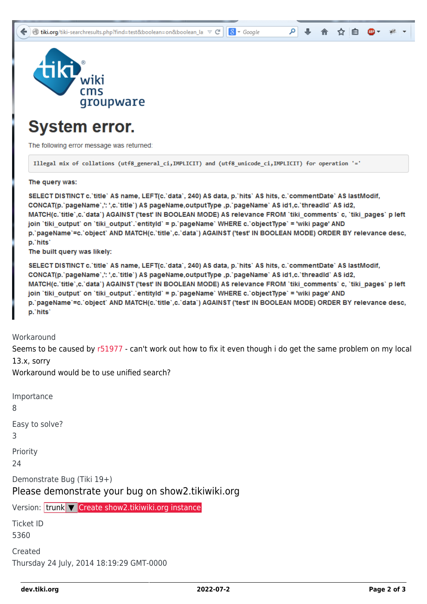

### **System error.**

The following error message was returned:

Illegal mix of collations (utf8 general ci, IMPLICIT) and (utf8 unicode ci, IMPLICIT) for operation '='

The query was:

SELECT DISTINCT c. title`AS name, LEFT(c. `data`, 240) AS data, p. `hits` AS hits, c. `commentDate` AS lastModif, CONCAT(p. pageName `,': ',c. `title') AS pageName,outputType ,p. `pageName` AS id1,c. `threadId` AS id2, MATCH(c.'title',c.'data') AGAINST ('test' IN BOOLEAN MODE) AS relevance FROM 'tiki comments' c, 'tiki pages' p left join 'tiki output' on 'tiki output'.'entityld' = p.'pageName' WHERE c.'objectType' = 'wiki page' AND p.'pageName'=c.'object' AND MATCH(c.'title',c.'data') AGAINST ('test' IN BOOLEAN MODE) ORDER BY relevance desc, p.'hits'

٥

☆ 自

 $8 - Google$ 

The built query was likely:

SELECT DISTINCT c. title` AS name, LEFT(c. data`, 240) AS data, p. hits` AS hits, c. commentDate` AS lastModif, CONCAT(p.`pageName`,': ',c.`title`) AS pageName,outputType ,p.`pageName` AS id1,c.`threadId` AS id2, MATCH(c.`title`,c.`data`) AGAINST ('test' IN BOOLEAN MODE) AS relevance FROM `tiki\_comments` c, `tiki\_pages` p left join 'tiki\_output' on 'tiki\_output'.'entityld' = p.'pageName' WHERE c.'objectType' = 'wiki page' AND p.'pageName'=c.'object' AND MATCH(c.'title',c.'data') AGAINST ('test' IN BOOLEAN MODE) ORDER BY relevance desc, p.'hits'

**Workaround** 

Seems to be caused by [r51977](http://sourceforge.net/p/tikiwiki/code/51977) - can't work out how to fix it even though i do get the same problem on my local 13.x, sorry

Workaround would be to use unified search?

Importance 8 Easy to solve? 3 Priority 24 Demonstrate Bug (Tiki 19+) Please demonstrate your bug on show2.tikiwiki.org Version: trunk ▼ [Create show2.tikiwiki.org instance](#page--1-0) Ticket ID 5360 Created Thursday 24 July, 2014 18:19:29 GMT-0000